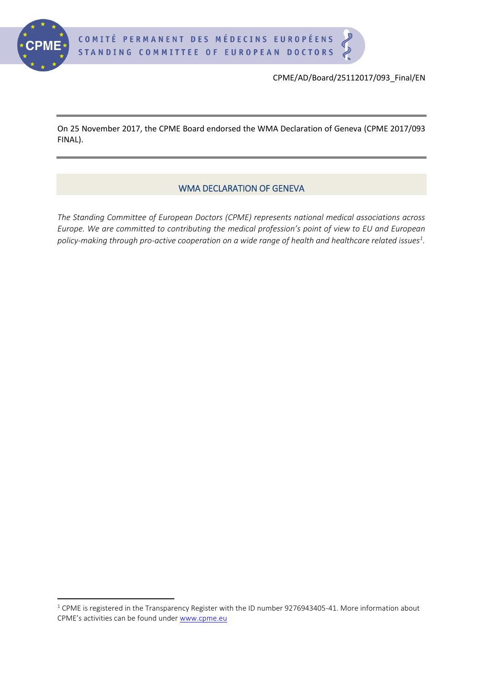

**.** 

CPME/AD/Board/25112017/093\_Final/EN

On 25 November 2017, the CPME Board endorsed the WMA Declaration of Geneva (CPME 2017/093 FINAL).

## WMA DECLARATION OF GENEVA

*The Standing Committee of European Doctors (CPME) represents national medical associations across Europe. We are committed to contributing the medical profession's point of view to EU and European policy-making through pro-active cooperation on a wide range of health and healthcare related issues<sup>1</sup> .*

 $1$  CPME is registered in the Transparency Register with the ID number 9276943405-41. More information about CPME's activities can be found under [www.cpme.eu](http://www.cpme.eu/)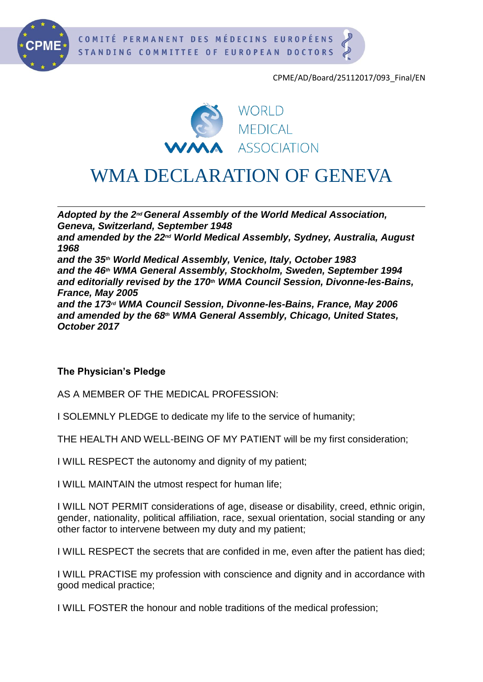

CPME/AD/Board/25112017/093\_Final/EN



## WMA DECLARATION OF GENEVA

*Adopted by the 2ndGeneral Assembly of the World Medical Association, Geneva, Switzerland, September 1948 and amended by the 22nd World Medical Assembly, Sydney, Australia, August 1968 and the 35th World Medical Assembly, Venice, Italy, October 1983 and the 46th WMA General Assembly, Stockholm, Sweden, September 1994 and editorially revised by the 170th WMA Council Session, Divonne-les-Bains, France, May 2005 and the 173rd WMA Council Session, Divonne-les-Bains, France, May 2006 and amended by the 68th WMA General Assembly, Chicago, United States, October 2017*

## **The Physician's Pledge**

AS A MEMBER OF THE MEDICAL PROFESSION:

I SOLEMNLY PLEDGE to dedicate my life to the service of humanity;

THE HEALTH AND WELL-BEING OF MY PATIENT will be my first consideration;

I WILL RESPECT the autonomy and dignity of my patient;

I WILL MAINTAIN the utmost respect for human life;

I WILL NOT PERMIT considerations of age, disease or disability, creed, ethnic origin, gender, nationality, political affiliation, race, sexual orientation, social standing or any other factor to intervene between my duty and my patient;

I WILL RESPECT the secrets that are confided in me, even after the patient has died;

I WILL PRACTISE my profession with conscience and dignity and in accordance with good medical practice;

I WILL FOSTER the honour and noble traditions of the medical profession;